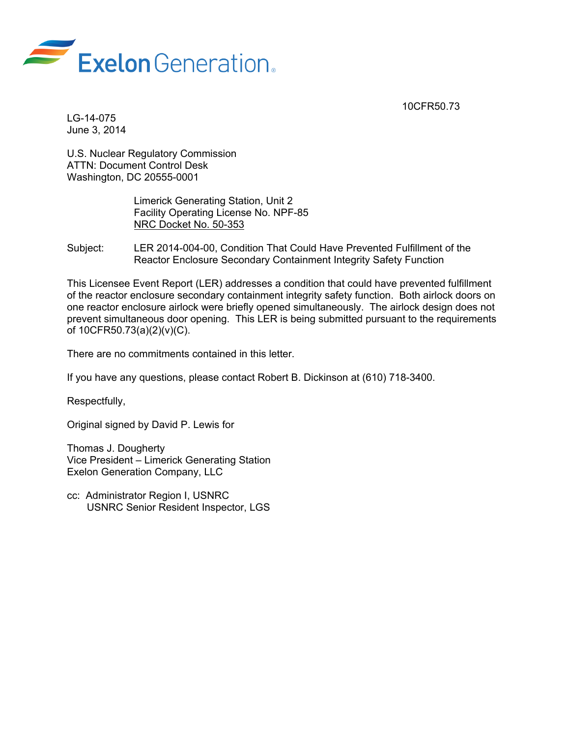



LG-14-075 June 3, 2014

U.S. Nuclear Regulatory Commission ATTN: Document Control Desk Washington, DC 20555-0001

> Limerick Generating Station, Unit 2 Facility Operating License No. NPF-85 NRC Docket No. 50-353

Subject: LER 2014-004-00, Condition That Could Have Prevented Fulfillment of the Reactor Enclosure Secondary Containment Integrity Safety Function

This Licensee Event Report (LER) addresses a condition that could have prevented fulfillment of the reactor enclosure secondary containment integrity safety function. Both airlock doors on one reactor enclosure airlock were briefly opened simultaneously. The airlock design does not prevent simultaneous door opening. This LER is being submitted pursuant to the requirements of 10CFR50.73(a)(2)(v)(C).

There are no commitments contained in this letter.

If you have any questions, please contact Robert B. Dickinson at (610) 718-3400.

Respectfully,

Original signed by David P. Lewis for

Thomas J. Dougherty Vice President – Limerick Generating Station Exelon Generation Company, LLC

cc: Administrator Region I, USNRC USNRC Senior Resident Inspector, LGS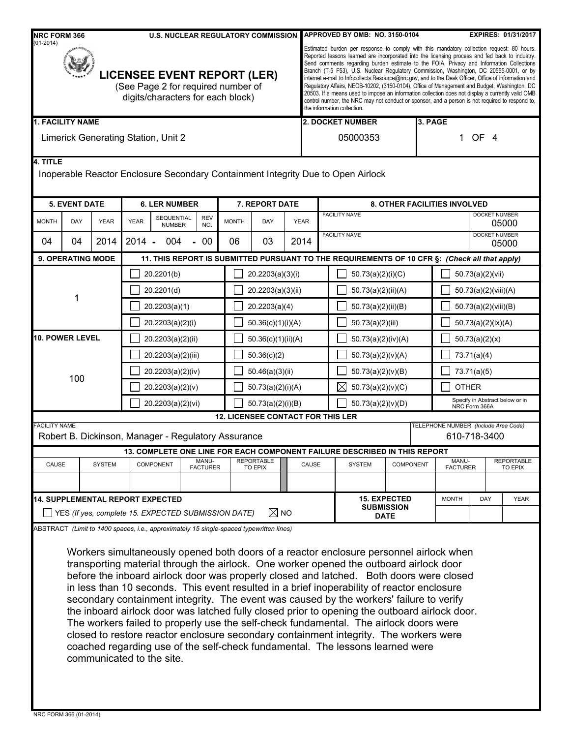| <b>NRC FORM 366</b><br><b>U.S. NUCLEAR REGULATORY COMMISSION</b><br>$(01-2014)$                               |                          |                                      |                                                                                                                  |                                                     |                   |                | APPROVED BY OMB: NO. 3150-0104<br><b>EXPIRES: 01/31/2017</b>                            |                                                                                                                                                                                                                                                                                                                                                                                                                                                                                                                                                                                                                                                                                                                                                                                                                                  |                                                                       |                      |                                                                                                                                                                                                                                                                                                                                                                                                                                                                                                                                                                                                                                                                                                                                                                                                                                          |                     |                               |                                      |                               |                   |             |
|---------------------------------------------------------------------------------------------------------------|--------------------------|--------------------------------------|------------------------------------------------------------------------------------------------------------------|-----------------------------------------------------|-------------------|----------------|-----------------------------------------------------------------------------------------|----------------------------------------------------------------------------------------------------------------------------------------------------------------------------------------------------------------------------------------------------------------------------------------------------------------------------------------------------------------------------------------------------------------------------------------------------------------------------------------------------------------------------------------------------------------------------------------------------------------------------------------------------------------------------------------------------------------------------------------------------------------------------------------------------------------------------------|-----------------------------------------------------------------------|----------------------|------------------------------------------------------------------------------------------------------------------------------------------------------------------------------------------------------------------------------------------------------------------------------------------------------------------------------------------------------------------------------------------------------------------------------------------------------------------------------------------------------------------------------------------------------------------------------------------------------------------------------------------------------------------------------------------------------------------------------------------------------------------------------------------------------------------------------------------|---------------------|-------------------------------|--------------------------------------|-------------------------------|-------------------|-------------|
| <b>LICENSEE EVENT REPORT (LER)</b><br>(See Page 2 for required number of<br>digits/characters for each block) |                          |                                      |                                                                                                                  |                                                     |                   |                |                                                                                         | Estimated burden per response to comply with this mandatory collection request: 80 hours.<br>Reported lessons learned are incorporated into the licensing process and fed back to industry.<br>Send comments regarding burden estimate to the FOIA, Privacy and Information Collections<br>Branch (T-5 F53), U.S. Nuclear Regulatory Commission, Washington, DC 20555-0001, or by<br>internet e-mail to Infocollects.Resource@nrc.gov, and to the Desk Officer, Office of Information and<br>Regulatory Affairs, NEOB-10202, (3150-0104), Office of Management and Budget, Washington, DC<br>20503. If a means used to impose an information collection does not display a currently valid OMB<br>control number, the NRC may not conduct or sponsor, and a person is not required to respond to,<br>the information collection. |                                                                       |                      |                                                                                                                                                                                                                                                                                                                                                                                                                                                                                                                                                                                                                                                                                                                                                                                                                                          |                     |                               |                                      |                               |                   |             |
| <b>1. FACILITY NAME</b>                                                                                       |                          |                                      |                                                                                                                  |                                                     |                   |                |                                                                                         |                                                                                                                                                                                                                                                                                                                                                                                                                                                                                                                                                                                                                                                                                                                                                                                                                                  | <b>2. DOCKET NUMBER</b>                                               |                      |                                                                                                                                                                                                                                                                                                                                                                                                                                                                                                                                                                                                                                                                                                                                                                                                                                          |                     |                               | 3. PAGE                              |                               |                   |             |
|                                                                                                               |                          |                                      |                                                                                                                  | Limerick Generating Station, Unit 2                 |                   |                |                                                                                         |                                                                                                                                                                                                                                                                                                                                                                                                                                                                                                                                                                                                                                                                                                                                                                                                                                  | 05000353                                                              |                      |                                                                                                                                                                                                                                                                                                                                                                                                                                                                                                                                                                                                                                                                                                                                                                                                                                          |                     | 1 OF 4                        |                                      |                               |                   |             |
| 4. TITLE                                                                                                      |                          |                                      |                                                                                                                  |                                                     |                   |                |                                                                                         |                                                                                                                                                                                                                                                                                                                                                                                                                                                                                                                                                                                                                                                                                                                                                                                                                                  |                                                                       |                      | Inoperable Reactor Enclosure Secondary Containment Integrity Due to Open Airlock                                                                                                                                                                                                                                                                                                                                                                                                                                                                                                                                                                                                                                                                                                                                                         |                     |                               |                                      |                               |                   |             |
| <b>5. EVENT DATE</b>                                                                                          |                          |                                      | <b>6. LER NUMBER</b>                                                                                             |                                                     |                   | 7. REPORT DATE |                                                                                         |                                                                                                                                                                                                                                                                                                                                                                                                                                                                                                                                                                                                                                                                                                                                                                                                                                  | <b>8. OTHER FACILITIES INVOLVED</b>                                   |                      |                                                                                                                                                                                                                                                                                                                                                                                                                                                                                                                                                                                                                                                                                                                                                                                                                                          |                     |                               |                                      |                               |                   |             |
| <b>MONTH</b>                                                                                                  | DAY                      | <b>YEAR</b>                          | <b>YEAR</b>                                                                                                      | SEQUENTIAL<br><b>NUMBER</b>                         | <b>REV</b><br>NO. | <b>MONTH</b>   | DAY                                                                                     | <b>YEAR</b>                                                                                                                                                                                                                                                                                                                                                                                                                                                                                                                                                                                                                                                                                                                                                                                                                      |                                                                       | <b>FACILITY NAME</b> |                                                                                                                                                                                                                                                                                                                                                                                                                                                                                                                                                                                                                                                                                                                                                                                                                                          |                     | <b>DOCKET NUMBER</b><br>05000 |                                      |                               |                   |             |
| 04                                                                                                            | 04                       | 2014                                 | $2014 -$                                                                                                         | 004                                                 | 00                | 06             | 03                                                                                      | 2014                                                                                                                                                                                                                                                                                                                                                                                                                                                                                                                                                                                                                                                                                                                                                                                                                             |                                                                       |                      | <b>FACILITY NAME</b>                                                                                                                                                                                                                                                                                                                                                                                                                                                                                                                                                                                                                                                                                                                                                                                                                     |                     |                               |                                      | <b>DOCKET NUMBER</b><br>05000 |                   |             |
|                                                                                                               | <b>9. OPERATING MODE</b> |                                      |                                                                                                                  |                                                     |                   |                |                                                                                         |                                                                                                                                                                                                                                                                                                                                                                                                                                                                                                                                                                                                                                                                                                                                                                                                                                  |                                                                       |                      | 11. THIS REPORT IS SUBMITTED PURSUANT TO THE REQUIREMENTS OF 10 CFR §: (Check all that apply)                                                                                                                                                                                                                                                                                                                                                                                                                                                                                                                                                                                                                                                                                                                                            |                     |                               |                                      |                               |                   |             |
|                                                                                                               |                          |                                      | 20.2201(b)                                                                                                       |                                                     |                   |                | 20.2203(a)(3)(i)                                                                        |                                                                                                                                                                                                                                                                                                                                                                                                                                                                                                                                                                                                                                                                                                                                                                                                                                  | 50.73(a)(2)(i)(C)                                                     |                      |                                                                                                                                                                                                                                                                                                                                                                                                                                                                                                                                                                                                                                                                                                                                                                                                                                          |                     |                               |                                      | 50.73(a)(2)(vii)              |                   |             |
|                                                                                                               |                          |                                      | 20.2201(d)                                                                                                       |                                                     |                   |                | 20.2203(a)(3)(ii)                                                                       |                                                                                                                                                                                                                                                                                                                                                                                                                                                                                                                                                                                                                                                                                                                                                                                                                                  | 50.73(a)(2)(ii)(A)                                                    |                      |                                                                                                                                                                                                                                                                                                                                                                                                                                                                                                                                                                                                                                                                                                                                                                                                                                          |                     | 50.73(a)(2)(viii)(A)          |                                      |                               |                   |             |
|                                                                                                               | 1                        |                                      | 20.2203(a)(1)                                                                                                    |                                                     |                   |                | 20.2203(a)(4)                                                                           |                                                                                                                                                                                                                                                                                                                                                                                                                                                                                                                                                                                                                                                                                                                                                                                                                                  | 50.73(a)(2)(ii)(B)                                                    |                      |                                                                                                                                                                                                                                                                                                                                                                                                                                                                                                                                                                                                                                                                                                                                                                                                                                          |                     | 50.73(a)(2)(viii)(B)          |                                      |                               |                   |             |
|                                                                                                               |                          |                                      | 20.2203(a)(2)(i)                                                                                                 |                                                     |                   |                | 50.36(c)(1)(i)(A)                                                                       |                                                                                                                                                                                                                                                                                                                                                                                                                                                                                                                                                                                                                                                                                                                                                                                                                                  |                                                                       |                      | 50.73(a)(2)(iii)                                                                                                                                                                                                                                                                                                                                                                                                                                                                                                                                                                                                                                                                                                                                                                                                                         |                     |                               | 50.73(a)(2)(ix)(A)                   |                               |                   |             |
|                                                                                                               | <b>10. POWER LEVEL</b>   |                                      | 20.2203(a)(2)(ii)<br>50.36(c)(1)(ii)(A)                                                                          |                                                     |                   |                |                                                                                         |                                                                                                                                                                                                                                                                                                                                                                                                                                                                                                                                                                                                                                                                                                                                                                                                                                  | 50.73(a)(2)(iv)(A)                                                    |                      |                                                                                                                                                                                                                                                                                                                                                                                                                                                                                                                                                                                                                                                                                                                                                                                                                                          |                     | 50.73(a)(2)(x)                |                                      |                               |                   |             |
|                                                                                                               |                          |                                      |                                                                                                                  | 20.2203(a)(2)(iii)<br>50.36(c)(2)                   |                   |                |                                                                                         |                                                                                                                                                                                                                                                                                                                                                                                                                                                                                                                                                                                                                                                                                                                                                                                                                                  |                                                                       |                      | 50.73(a)(2)(v)(A)                                                                                                                                                                                                                                                                                                                                                                                                                                                                                                                                                                                                                                                                                                                                                                                                                        |                     |                               | 73.71(a)(4)                          |                               |                   |             |
| 100                                                                                                           |                          | 20.2203(a)(2)(iv)<br>50.46(a)(3)(ii) |                                                                                                                  |                                                     |                   |                |                                                                                         |                                                                                                                                                                                                                                                                                                                                                                                                                                                                                                                                                                                                                                                                                                                                                                                                                                  | 50.73(a)(2)(v)(B)                                                     |                      |                                                                                                                                                                                                                                                                                                                                                                                                                                                                                                                                                                                                                                                                                                                                                                                                                                          |                     | 73.71(a)(5)                   |                                      |                               |                   |             |
|                                                                                                               |                          |                                      | 20.2203(a)(2)(v)                                                                                                 |                                                     |                   |                |                                                                                         | $\boxtimes$<br>50.73(a)(2)(v)(C)<br>50.73(a)(2)(i)(A)                                                                                                                                                                                                                                                                                                                                                                                                                                                                                                                                                                                                                                                                                                                                                                            |                                                                       |                      |                                                                                                                                                                                                                                                                                                                                                                                                                                                                                                                                                                                                                                                                                                                                                                                                                                          |                     | <b>OTHER</b>                  |                                      |                               |                   |             |
|                                                                                                               |                          |                                      |                                                                                                                  | 20.2203(a)(2)(vi)<br>50.73(a)(2)(i)(B)              |                   |                |                                                                                         |                                                                                                                                                                                                                                                                                                                                                                                                                                                                                                                                                                                                                                                                                                                                                                                                                                  | Specify in Abstract below or in<br>50.73(a)(2)(v)(D)<br>NRC Form 366A |                      |                                                                                                                                                                                                                                                                                                                                                                                                                                                                                                                                                                                                                                                                                                                                                                                                                                          |                     |                               |                                      |                               |                   |             |
| <b>FACILITY NAME</b>                                                                                          |                          |                                      |                                                                                                                  |                                                     |                   |                | <b>12. LICENSEE CONTACT FOR THIS LER</b>                                                |                                                                                                                                                                                                                                                                                                                                                                                                                                                                                                                                                                                                                                                                                                                                                                                                                                  |                                                                       |                      |                                                                                                                                                                                                                                                                                                                                                                                                                                                                                                                                                                                                                                                                                                                                                                                                                                          |                     |                               | TELEPHONE NUMBER (Include Area Code) |                               |                   |             |
|                                                                                                               |                          |                                      |                                                                                                                  | Robert B. Dickinson, Manager - Regulatory Assurance |                   |                |                                                                                         |                                                                                                                                                                                                                                                                                                                                                                                                                                                                                                                                                                                                                                                                                                                                                                                                                                  |                                                                       |                      |                                                                                                                                                                                                                                                                                                                                                                                                                                                                                                                                                                                                                                                                                                                                                                                                                                          |                     |                               |                                      | 610-718-3400                  |                   |             |
|                                                                                                               |                          |                                      |                                                                                                                  |                                                     | MANU-             |                | <b>REPORTABLE</b>                                                                       |                                                                                                                                                                                                                                                                                                                                                                                                                                                                                                                                                                                                                                                                                                                                                                                                                                  |                                                                       |                      | 13. COMPLETE ONE LINE FOR EACH COMPONENT FAILURE DESCRIBED IN THIS REPORT                                                                                                                                                                                                                                                                                                                                                                                                                                                                                                                                                                                                                                                                                                                                                                |                     |                               | MANU-                                |                               | <b>REPORTABLE</b> |             |
|                                                                                                               | CAUSE<br><b>SYSTEM</b>   |                                      |                                                                                                                  | <b>COMPONENT</b>                                    | <b>FACTURER</b>   |                | TO EPIX                                                                                 |                                                                                                                                                                                                                                                                                                                                                                                                                                                                                                                                                                                                                                                                                                                                                                                                                                  | CAUSE                                                                 |                      | <b>SYSTEM</b><br><b>COMPONENT</b>                                                                                                                                                                                                                                                                                                                                                                                                                                                                                                                                                                                                                                                                                                                                                                                                        |                     |                               | <b>FACTURER</b><br>TO EPIX           |                               |                   |             |
|                                                                                                               |                          |                                      |                                                                                                                  |                                                     |                   |                |                                                                                         |                                                                                                                                                                                                                                                                                                                                                                                                                                                                                                                                                                                                                                                                                                                                                                                                                                  |                                                                       |                      |                                                                                                                                                                                                                                                                                                                                                                                                                                                                                                                                                                                                                                                                                                                                                                                                                                          | <b>15. EXPECTED</b> |                               | <b>MONTH</b>                         | DAY                           |                   | <b>YEAR</b> |
|                                                                                                               |                          |                                      | <b>14. SUPPLEMENTAL REPORT EXPECTED</b><br>$\boxtimes$ NO<br>YES (If yes, complete 15. EXPECTED SUBMISSION DATE) |                                                     |                   |                |                                                                                         |                                                                                                                                                                                                                                                                                                                                                                                                                                                                                                                                                                                                                                                                                                                                                                                                                                  | <b>SUBMISSION</b><br><b>DATE</b>                                      |                      |                                                                                                                                                                                                                                                                                                                                                                                                                                                                                                                                                                                                                                                                                                                                                                                                                                          |                     |                               |                                      |                               |                   |             |
|                                                                                                               |                          |                                      |                                                                                                                  |                                                     |                   |                | ABSTRACT (Limit to 1400 spaces, i.e., approximately 15 single-spaced typewritten lines) |                                                                                                                                                                                                                                                                                                                                                                                                                                                                                                                                                                                                                                                                                                                                                                                                                                  |                                                                       |                      |                                                                                                                                                                                                                                                                                                                                                                                                                                                                                                                                                                                                                                                                                                                                                                                                                                          |                     |                               |                                      |                               |                   |             |
|                                                                                                               |                          |                                      |                                                                                                                  | communicated to the site.                           |                   |                |                                                                                         |                                                                                                                                                                                                                                                                                                                                                                                                                                                                                                                                                                                                                                                                                                                                                                                                                                  |                                                                       |                      | Workers simultaneously opened both doors of a reactor enclosure personnel airlock when<br>transporting material through the airlock. One worker opened the outboard airlock door<br>before the inboard airlock door was properly closed and latched. Both doors were closed<br>in less than 10 seconds. This event resulted in a brief inoperability of reactor enclosure<br>secondary containment integrity. The event was caused by the workers' failure to verify<br>the inboard airlock door was latched fully closed prior to opening the outboard airlock door.<br>The workers failed to properly use the self-check fundamental. The airlock doors were<br>closed to restore reactor enclosure secondary containment integrity. The workers were<br>coached regarding use of the self-check fundamental. The lessons learned were |                     |                               |                                      |                               |                   |             |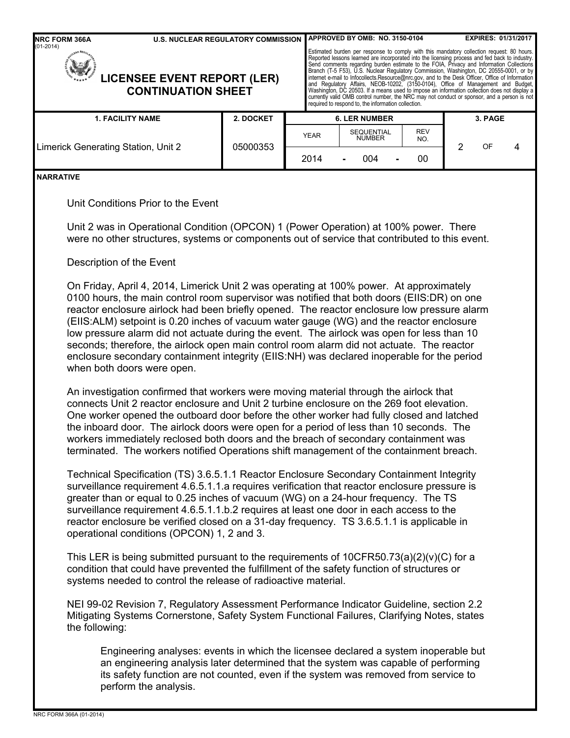| <b>NRC FORM 366A</b><br><b>U.S. NUCLEAR REGULATORY COMMISSION</b>                                                                                                                                                                                                                         |                                                                                                                                                                                                                                                                                                                                                                                                                                                                                                                                                                                                                                                                          |                                                                                                                                                                                                                                                                                                                                                                                                                                                                                                                                                                                                                                                                                       | APPROVED BY OMB: NO. 3150-0104 |            |         | <b>EXPIRES: 01/31/2017</b> |  |  |  |  |  |
|-------------------------------------------------------------------------------------------------------------------------------------------------------------------------------------------------------------------------------------------------------------------------------------------|--------------------------------------------------------------------------------------------------------------------------------------------------------------------------------------------------------------------------------------------------------------------------------------------------------------------------------------------------------------------------------------------------------------------------------------------------------------------------------------------------------------------------------------------------------------------------------------------------------------------------------------------------------------------------|---------------------------------------------------------------------------------------------------------------------------------------------------------------------------------------------------------------------------------------------------------------------------------------------------------------------------------------------------------------------------------------------------------------------------------------------------------------------------------------------------------------------------------------------------------------------------------------------------------------------------------------------------------------------------------------|--------------------------------|------------|---------|----------------------------|--|--|--|--|--|
| $(01-2014)$<br><b>LICENSEE EVENT REPORT (LER)</b><br><b>CONTINUATION SHEET</b>                                                                                                                                                                                                            |                                                                                                                                                                                                                                                                                                                                                                                                                                                                                                                                                                                                                                                                          | Estimated burden per response to comply with this mandatory collection request: 80 hours.<br>Reported lessons learned are incorporated into the licensing process and fed back to industry.<br>Send comments regarding burden estimate to the FOIA, Privacy and Information Collections<br>Branch (T-5 F53), U.S. Nuclear Regulatory Commission, Washington, DC 20555-0001, or by<br>internet e-mail to Infocollects.Resource@nrc.gov, and to the Desk Officer, Office of Information<br>and Regulatory Affairs, NEOB-10202, (3<br>currently valid OMB control number, the NRC may not conduct or sponsor, and a person is not<br>required to respond to, the information collection. |                                |            |         |                            |  |  |  |  |  |
| <b>1. FACILITY NAME</b>                                                                                                                                                                                                                                                                   | 2. DOCKET                                                                                                                                                                                                                                                                                                                                                                                                                                                                                                                                                                                                                                                                |                                                                                                                                                                                                                                                                                                                                                                                                                                                                                                                                                                                                                                                                                       | <b>6. LER NUMBER</b>           |            |         | 3. PAGE                    |  |  |  |  |  |
| Limerick Generating Station, Unit 2                                                                                                                                                                                                                                                       | 05000353                                                                                                                                                                                                                                                                                                                                                                                                                                                                                                                                                                                                                                                                 | YEAR                                                                                                                                                                                                                                                                                                                                                                                                                                                                                                                                                                                                                                                                                  | SEQUENTIAL<br>NUMBER           | REV<br>NO. | 2<br>OF |                            |  |  |  |  |  |
|                                                                                                                                                                                                                                                                                           |                                                                                                                                                                                                                                                                                                                                                                                                                                                                                                                                                                                                                                                                          | 2014                                                                                                                                                                                                                                                                                                                                                                                                                                                                                                                                                                                                                                                                                  | 004                            | 00         |         |                            |  |  |  |  |  |
| <b>NARRATIVE</b>                                                                                                                                                                                                                                                                          |                                                                                                                                                                                                                                                                                                                                                                                                                                                                                                                                                                                                                                                                          |                                                                                                                                                                                                                                                                                                                                                                                                                                                                                                                                                                                                                                                                                       |                                |            |         |                            |  |  |  |  |  |
| Unit Conditions Prior to the Event                                                                                                                                                                                                                                                        |                                                                                                                                                                                                                                                                                                                                                                                                                                                                                                                                                                                                                                                                          |                                                                                                                                                                                                                                                                                                                                                                                                                                                                                                                                                                                                                                                                                       |                                |            |         |                            |  |  |  |  |  |
|                                                                                                                                                                                                                                                                                           | Unit 2 was in Operational Condition (OPCON) 1 (Power Operation) at 100% power. There<br>were no other structures, systems or components out of service that contributed to this event.                                                                                                                                                                                                                                                                                                                                                                                                                                                                                   |                                                                                                                                                                                                                                                                                                                                                                                                                                                                                                                                                                                                                                                                                       |                                |            |         |                            |  |  |  |  |  |
| Description of the Event                                                                                                                                                                                                                                                                  |                                                                                                                                                                                                                                                                                                                                                                                                                                                                                                                                                                                                                                                                          |                                                                                                                                                                                                                                                                                                                                                                                                                                                                                                                                                                                                                                                                                       |                                |            |         |                            |  |  |  |  |  |
| when both doors were open.                                                                                                                                                                                                                                                                | On Friday, April 4, 2014, Limerick Unit 2 was operating at 100% power. At approximately<br>0100 hours, the main control room supervisor was notified that both doors (EIIS:DR) on one<br>reactor enclosure airlock had been briefly opened. The reactor enclosure low pressure alarm<br>(EIIS:ALM) setpoint is 0.20 inches of vacuum water gauge (WG) and the reactor enclosure<br>low pressure alarm did not actuate during the event. The airlock was open for less than 10<br>seconds; therefore, the airlock open main control room alarm did not actuate. The reactor<br>enclosure secondary containment integrity (EIIS:NH) was declared inoperable for the period |                                                                                                                                                                                                                                                                                                                                                                                                                                                                                                                                                                                                                                                                                       |                                |            |         |                            |  |  |  |  |  |
|                                                                                                                                                                                                                                                                                           | An investigation confirmed that workers were moving material through the airlock that<br>connects Unit 2 reactor enclosure and Unit 2 turbine enclosure on the 269 foot elevation.<br>One worker opened the outboard door before the other worker had fully closed and latched<br>the inboard door. The airlock doors were open for a period of less than 10 seconds. The<br>workers immediately reclosed both doors and the breach of secondary containment was<br>terminated. The workers notified Operations shift management of the containment breach.                                                                                                              |                                                                                                                                                                                                                                                                                                                                                                                                                                                                                                                                                                                                                                                                                       |                                |            |         |                            |  |  |  |  |  |
|                                                                                                                                                                                                                                                                                           | Technical Specification (TS) 3.6.5.1.1 Reactor Enclosure Secondary Containment Integrity<br>surveillance requirement 4.6.5.1.1.a requires verification that reactor enclosure pressure is<br>greater than or equal to 0.25 inches of vacuum (WG) on a 24-hour frequency. The TS<br>surveillance requirement 4.6.5.1.1.b.2 requires at least one door in each access to the<br>reactor enclosure be verified closed on a 31-day frequency. TS 3.6.5.1.1 is applicable in<br>operational conditions (OPCON) 1, 2 and 3.                                                                                                                                                    |                                                                                                                                                                                                                                                                                                                                                                                                                                                                                                                                                                                                                                                                                       |                                |            |         |                            |  |  |  |  |  |
|                                                                                                                                                                                                                                                                                           | This LER is being submitted pursuant to the requirements of $10CFR50.73(a)(2)(v)(C)$ for a<br>condition that could have prevented the fulfillment of the safety function of structures or<br>systems needed to control the release of radioactive material.                                                                                                                                                                                                                                                                                                                                                                                                              |                                                                                                                                                                                                                                                                                                                                                                                                                                                                                                                                                                                                                                                                                       |                                |            |         |                            |  |  |  |  |  |
| NEI 99-02 Revision 7, Regulatory Assessment Performance Indicator Guideline, section 2.2<br>Mitigating Systems Cornerstone, Safety System Functional Failures, Clarifying Notes, states<br>the following:                                                                                 |                                                                                                                                                                                                                                                                                                                                                                                                                                                                                                                                                                                                                                                                          |                                                                                                                                                                                                                                                                                                                                                                                                                                                                                                                                                                                                                                                                                       |                                |            |         |                            |  |  |  |  |  |
| Engineering analyses: events in which the licensee declared a system inoperable but<br>an engineering analysis later determined that the system was capable of performing<br>its safety function are not counted, even if the system was removed from service to<br>perform the analysis. |                                                                                                                                                                                                                                                                                                                                                                                                                                                                                                                                                                                                                                                                          |                                                                                                                                                                                                                                                                                                                                                                                                                                                                                                                                                                                                                                                                                       |                                |            |         |                            |  |  |  |  |  |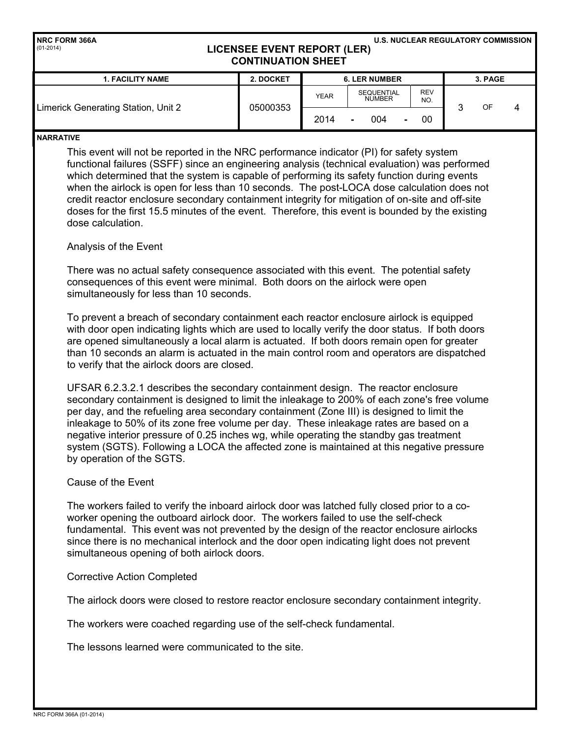| <b>INRC FORM 366A</b><br>$(01-2014)$ | LICENSEE EVENT REPORT (LER)<br><b>CONTINUATION SHEET</b> |             |                                    | <b>U.S. NUCLEAR REGULATORY COMMISSION</b> |         |  |  |  |
|--------------------------------------|----------------------------------------------------------|-------------|------------------------------------|-------------------------------------------|---------|--|--|--|
| <b>1. FACILITY NAME</b>              | 2. DOCKET                                                |             | <b>6. LER NUMBER</b>               |                                           | 3. PAGE |  |  |  |
|                                      |                                                          | <b>YEAR</b> | <b>SEQUENTIAL</b><br><b>NUMBER</b> | <b>REV</b><br>NO.                         |         |  |  |  |

2014 **-** 004 **-** 00

3 OF 4

#### **NARRATIVE**

This event will not be reported in the NRC performance indicator (PI) for safety system functional failures (SSFF) since an engineering analysis (technical evaluation) was performed which determined that the system is capable of performing its safety function during events when the airlock is open for less than 10 seconds. The post-LOCA dose calculation does not credit reactor enclosure secondary containment integrity for mitigation of on-site and off-site doses for the first 15.5 minutes of the event. Therefore, this event is bounded by the existing dose calculation.

# Analysis of the Event

Limerick Generating Station, Unit 2 **CENN 105000353** 

There was no actual safety consequence associated with this event. The potential safety consequences of this event were minimal. Both doors on the airlock were open simultaneously for less than 10 seconds.

To prevent a breach of secondary containment each reactor enclosure airlock is equipped with door open indicating lights which are used to locally verify the door status. If both doors are opened simultaneously a local alarm is actuated. If both doors remain open for greater than 10 seconds an alarm is actuated in the main control room and operators are dispatched to verify that the airlock doors are closed.

UFSAR 6.2.3.2.1 describes the secondary containment design. The reactor enclosure secondary containment is designed to limit the inleakage to 200% of each zone's free volume per day, and the refueling area secondary containment (Zone III) is designed to limit the inleakage to 50% of its zone free volume per day. These inleakage rates are based on a negative interior pressure of 0.25 inches wg, while operating the standby gas treatment system (SGTS). Following a LOCA the affected zone is maintained at this negative pressure by operation of the SGTS.

## Cause of the Event

The workers failed to verify the inboard airlock door was latched fully closed prior to a coworker opening the outboard airlock door. The workers failed to use the self-check fundamental. This event was not prevented by the design of the reactor enclosure airlocks since there is no mechanical interlock and the door open indicating light does not prevent simultaneous opening of both airlock doors.

#### Corrective Action Completed

The airlock doors were closed to restore reactor enclosure secondary containment integrity.

The workers were coached regarding use of the self-check fundamental.

The lessons learned were communicated to the site.